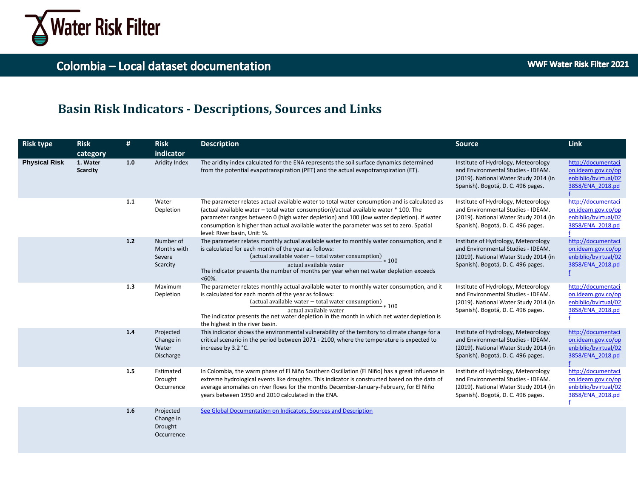

## **Basin Risk Indicators - Descriptions, Sources and Links**

| <b>Risk type</b>     | <b>Risk</b><br>category     | #   | <b>Risk</b><br>indicator                        | <b>Description</b>                                                                                                                                                                                                                                                                                                                                                                                            | <b>Source</b>                                                                                                                                            | <b>Link</b>                                                                          |
|----------------------|-----------------------------|-----|-------------------------------------------------|---------------------------------------------------------------------------------------------------------------------------------------------------------------------------------------------------------------------------------------------------------------------------------------------------------------------------------------------------------------------------------------------------------------|----------------------------------------------------------------------------------------------------------------------------------------------------------|--------------------------------------------------------------------------------------|
| <b>Physical Risk</b> | 1. Water<br><b>Scarcity</b> | 1.0 | Aridity Index                                   | The aridity index calculated for the ENA represents the soil surface dynamics determined<br>from the potential evapotranspiration (PET) and the actual evapotranspiration (ET).                                                                                                                                                                                                                               | Institute of Hydrology, Meteorology<br>and Environmental Studies - IDEAM.<br>(2019). National Water Study 2014 (in<br>Spanish). Bogotá, D. C. 496 pages. | http://documentaci<br>on.ideam.gov.co/op<br>enbiblio/bvirtual/02<br>3858/ENA 2018.pd |
|                      |                             | 1.1 | Water<br>Depletion                              | The parameter relates actual available water to total water consumption and is calculated as<br>(actual available water - total water consumption)/actual available water * 100. The<br>parameter ranges between 0 (high water depletion) and 100 (low water depletion). If water<br>consumption is higher than actual available water the parameter was set to zero. Spatial<br>level: River basin, Unit: %. | Institute of Hydrology, Meteorology<br>and Environmental Studies - IDEAM.<br>(2019). National Water Study 2014 (in<br>Spanish). Bogotá, D. C. 496 pages. | http://documentaci<br>on.ideam.gov.co/op<br>enbiblio/bvirtual/02<br>3858/ENA 2018.pd |
|                      |                             | 1.2 | Number of<br>Months with<br>Severe<br>Scarcity  | The parameter relates monthly actual available water to monthly water consumption, and it<br>is calculated for each month of the year as follows:<br>$\frac{1}{2}$ (actual available water – total water consumption) $*100$<br>actual available water<br>The indicator presents the number of months per year when net water depletion exceeds<br>$< 60\%$ .                                                 | Institute of Hydrology, Meteorology<br>and Environmental Studies - IDEAM.<br>(2019). National Water Study 2014 (in<br>Spanish). Bogotá, D. C. 496 pages. | http://documentaci<br>on.ideam.gov.co/op<br>enbiblio/bvirtual/02<br>3858/ENA 2018.pd |
|                      |                             | 1.3 | Maximum<br>Depletion                            | The parameter relates monthly actual available water to monthly water consumption, and it<br>is calculated for each month of the year as follows:<br>(actual available water - total water consumption)<br>$-*100$<br>actual available water<br>The indicator presents the net water depletion in the month in which net water depletion is<br>the highest in the river basin.                                | Institute of Hydrology, Meteorology<br>and Environmental Studies - IDEAM.<br>(2019). National Water Study 2014 (in<br>Spanish). Bogotá, D. C. 496 pages. | http://documentaci<br>on.ideam.gov.co/op<br>enbiblio/bvirtual/02<br>3858/ENA 2018.pd |
|                      |                             | 1.4 | Projected<br>Change in<br>Water<br>Discharge    | This indicator shows the environmental vulnerability of the territory to climate change for a<br>critical scenario in the period between 2071 - 2100, where the temperature is expected to<br>increase by 3.2 °C.                                                                                                                                                                                             | Institute of Hydrology, Meteorology<br>and Environmental Studies - IDEAM.<br>(2019). National Water Study 2014 (in<br>Spanish). Bogotá, D. C. 496 pages. | http://documentaci<br>on.ideam.gov.co/op<br>enbiblio/bvirtual/02<br>3858/ENA 2018.pd |
|                      |                             | 1.5 | Estimated<br>Drought<br>Occurrence              | In Colombia, the warm phase of El Niño Southern Oscillation (El Niño) has a great influence in<br>extreme hydrological events like droughts. This indicator is constructed based on the data of<br>average anomalies on river flows for the months December-January-February, for El Niño<br>years between 1950 and 2010 calculated in the ENA.                                                               | Institute of Hydrology, Meteorology<br>and Environmental Studies - IDEAM.<br>(2019). National Water Study 2014 (in<br>Spanish). Bogotá, D. C. 496 pages. | http://documentaci<br>on.ideam.gov.co/op<br>enbiblio/bvirtual/02<br>3858/ENA 2018.pd |
|                      |                             | 1.6 | Projected<br>Change in<br>Drought<br>Occurrence | See Global Documentation on Indicators, Sources and Description                                                                                                                                                                                                                                                                                                                                               |                                                                                                                                                          |                                                                                      |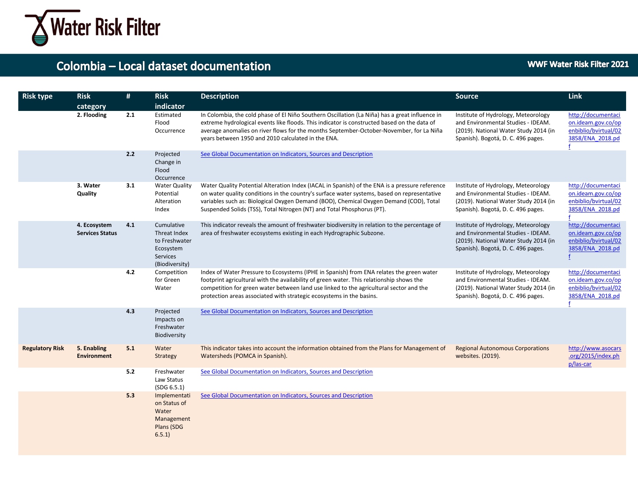

| <b>Risk type</b>       | <b>Risk</b><br>category                | #   | <b>Risk</b><br>indicator                                                               | <b>Description</b>                                                                                                                                                                                                                                                                                                                                                | <b>Source</b>                                                                                                                                            | <b>Link</b>                                                                          |
|------------------------|----------------------------------------|-----|----------------------------------------------------------------------------------------|-------------------------------------------------------------------------------------------------------------------------------------------------------------------------------------------------------------------------------------------------------------------------------------------------------------------------------------------------------------------|----------------------------------------------------------------------------------------------------------------------------------------------------------|--------------------------------------------------------------------------------------|
|                        | 2. Flooding                            | 2.1 | Estimated<br>Flood<br>Occurrence                                                       | In Colombia, the cold phase of El Niño Southern Oscillation (La Niña) has a great influence in<br>extreme hydrological events like floods. This indicator is constructed based on the data of<br>average anomalies on river flows for the months September-October-November, for La Niña<br>years between 1950 and 2010 calculated in the ENA.                    | Institute of Hydrology, Meteorology<br>and Environmental Studies - IDEAM.<br>(2019). National Water Study 2014 (in<br>Spanish). Bogotá, D. C. 496 pages. | http://documentaci<br>on.ideam.gov.co/op<br>enbiblio/bvirtual/02<br>3858/ENA 2018.pd |
|                        |                                        | 2.2 | Projected<br>Change in<br>Flood<br>Occurrence                                          | See Global Documentation on Indicators, Sources and Description                                                                                                                                                                                                                                                                                                   |                                                                                                                                                          |                                                                                      |
|                        | 3. Water<br>Quality                    | 3.1 | <b>Water Quality</b><br>Potential<br>Alteration<br>Index                               | Water Quality Potential Alteration Index (IACAL in Spanish) of the ENA is a pressure reference<br>on water quality conditions in the country's surface water systems, based on representative<br>variables such as: Biological Oxygen Demand (BOD), Chemical Oxygen Demand (COD), Total<br>Suspended Solids (TSS), Total Nitrogen (NT) and Total Phosphorus (PT). | Institute of Hydrology, Meteorology<br>and Environmental Studies - IDEAM.<br>(2019). National Water Study 2014 (in<br>Spanish). Bogotá, D. C. 496 pages. | http://documentaci<br>on.ideam.gov.co/op<br>enbiblio/bvirtual/02<br>3858/ENA 2018.pd |
|                        | 4. Ecosystem<br><b>Services Status</b> | 4.1 | Cumulative<br>Threat Index<br>to Freshwater<br>Ecosystem<br>Services<br>(Biodiversity) | This indicator reveals the amount of freshwater biodiversity in relation to the percentage of<br>area of freshwater ecosystems existing in each Hydrographic Subzone.                                                                                                                                                                                             | Institute of Hydrology, Meteorology<br>and Environmental Studies - IDEAM.<br>(2019). National Water Study 2014 (in<br>Spanish). Bogotá, D. C. 496 pages. | http://documentaci<br>on.ideam.gov.co/op<br>enbiblio/bvirtual/02<br>3858/ENA 2018.pd |
|                        |                                        | 4.2 | Competition<br>for Green<br>Water                                                      | Index of Water Pressure to Ecosystems (IPHE in Spanish) from ENA relates the green water<br>footprint agricultural with the availability of green water. This relationship shows the<br>competition for green water between land use linked to the agricultural sector and the<br>protection areas associated with strategic ecosystems in the basins.            | Institute of Hydrology, Meteorology<br>and Environmental Studies - IDEAM.<br>(2019). National Water Study 2014 (in<br>Spanish). Bogotá, D. C. 496 pages. | http://documentaci<br>on.ideam.gov.co/op<br>enbiblio/bvirtual/02<br>3858/ENA 2018.pd |
|                        |                                        | 4.3 | Projected<br>Impacts on<br>Freshwater<br>Biodiversity                                  | See Global Documentation on Indicators, Sources and Description                                                                                                                                                                                                                                                                                                   |                                                                                                                                                          |                                                                                      |
| <b>Regulatory Risk</b> | 5. Enabling<br><b>Environment</b>      | 5.1 | Water<br>Strategy                                                                      | This indicator takes into account the information obtained from the Plans for Management of<br>Watersheds (POMCA in Spanish).                                                                                                                                                                                                                                     | <b>Regional Autonomous Corporations</b><br>websites. (2019).                                                                                             | http://www.asocars<br>.org/2015/index.ph<br>p/las-car                                |
|                        |                                        | 5.2 | Freshwater<br>Law Status<br>(SDG 6.5.1)                                                | See Global Documentation on Indicators, Sources and Description                                                                                                                                                                                                                                                                                                   |                                                                                                                                                          |                                                                                      |
|                        |                                        | 5.3 | Implementati<br>on Status of<br>Water<br>Management<br>Plans (SDG<br>6.5.1)            | See Global Documentation on Indicators, Sources and Description                                                                                                                                                                                                                                                                                                   |                                                                                                                                                          |                                                                                      |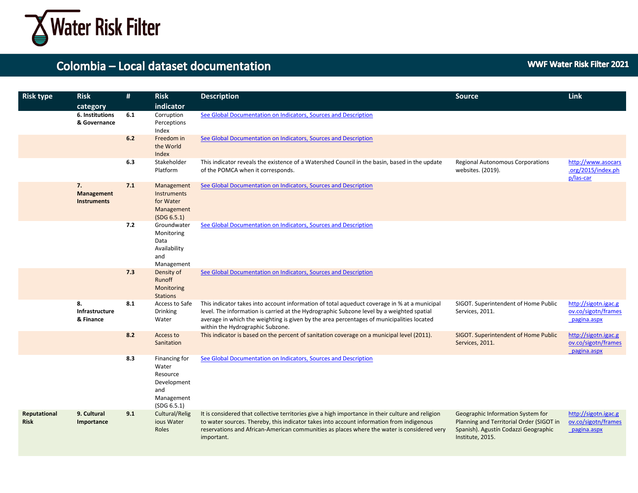

| <b>Risk type</b>            | <b>Risk</b>                                 | #   | <b>Risk</b>                                                                           | <b>Description</b>                                                                                                                                                                                                                                                                                                         | <b>Source</b>                                                                                                                             | Link                                                       |
|-----------------------------|---------------------------------------------|-----|---------------------------------------------------------------------------------------|----------------------------------------------------------------------------------------------------------------------------------------------------------------------------------------------------------------------------------------------------------------------------------------------------------------------------|-------------------------------------------------------------------------------------------------------------------------------------------|------------------------------------------------------------|
|                             | category<br>6. Institutions<br>& Governance | 6.1 | indicator<br>Corruption<br>Perceptions                                                | See Global Documentation on Indicators, Sources and Description                                                                                                                                                                                                                                                            |                                                                                                                                           |                                                            |
|                             |                                             |     | Index                                                                                 |                                                                                                                                                                                                                                                                                                                            |                                                                                                                                           |                                                            |
|                             |                                             | 6.2 | Freedom in<br>the World<br>Index                                                      | See Global Documentation on Indicators, Sources and Description                                                                                                                                                                                                                                                            |                                                                                                                                           |                                                            |
|                             |                                             | 6.3 | Stakeholder<br>Platform                                                               | This indicator reveals the existence of a Watershed Council in the basin, based in the update<br>of the POMCA when it corresponds.                                                                                                                                                                                         | Regional Autonomous Corporations<br>websites. (2019).                                                                                     | http://www.asocars<br>.org/2015/index.ph<br>p/las-car      |
|                             | 7.<br>Management<br><b>Instruments</b>      | 7.1 | Management<br>Instruments<br>for Water<br>Management<br>(SDG 6.5.1)                   | See Global Documentation on Indicators, Sources and Description                                                                                                                                                                                                                                                            |                                                                                                                                           |                                                            |
|                             |                                             | 7.2 | Groundwater<br>Monitoring<br>Data<br>Availability<br>and<br>Management                | See Global Documentation on Indicators, Sources and Description                                                                                                                                                                                                                                                            |                                                                                                                                           |                                                            |
|                             |                                             | 7.3 | Density of<br>Runoff<br>Monitoring<br><b>Stations</b>                                 | See Global Documentation on Indicators, Sources and Description                                                                                                                                                                                                                                                            |                                                                                                                                           |                                                            |
|                             | 8.<br>Infrastructure<br>& Finance           | 8.1 | Access to Safe<br><b>Drinking</b><br>Water                                            | This indicator takes into account information of total aqueduct coverage in % at a municipal<br>level. The information is carried at the Hydrographic Subzone level by a weighted spatial<br>average in which the weighting is given by the area percentages of municipalities located<br>within the Hydrographic Subzone. | SIGOT. Superintendent of Home Public<br>Services, 2011.                                                                                   | http://sigotn.igac.g<br>ov.co/sigotn/frames<br>pagina.aspx |
|                             |                                             | 8.2 | Access to<br>Sanitation                                                               | This indicator is based on the percent of sanitation coverage on a municipal level (2011).                                                                                                                                                                                                                                 | SIGOT. Superintendent of Home Public<br>Services, 2011.                                                                                   | http://sigotn.igac.g<br>ov.co/sigotn/frames<br>pagina.aspx |
|                             |                                             | 8.3 | Financing for<br>Water<br>Resource<br>Development<br>and<br>Management<br>(SDG 6.5.1) | See Global Documentation on Indicators, Sources and Description                                                                                                                                                                                                                                                            |                                                                                                                                           |                                                            |
| Reputational<br><b>Risk</b> | 9. Cultural<br>Importance                   | 9.1 | Cultural/Relig<br>ious Water<br>Roles                                                 | It is considered that collective territories give a high importance in their culture and religion<br>to water sources. Thereby, this indicator takes into account information from indigenous<br>reservations and African-American communities as places where the water is considered very<br>important.                  | Geographic Information System for<br>Planning and Territorial Order (SIGOT in<br>Spanish). Agustín Codazzi Geographic<br>Institute, 2015. | http://sigotn.igac.g<br>ov.co/sigotn/frames<br>pagina.aspx |